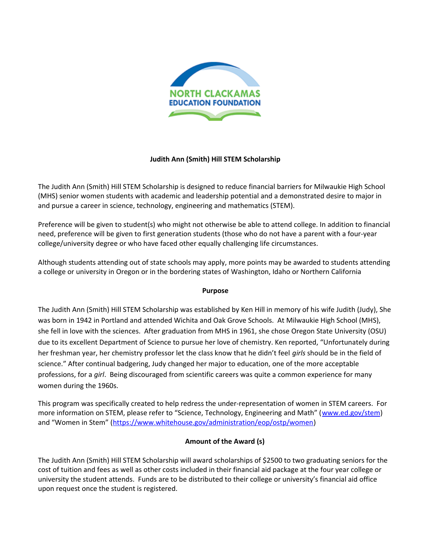

# **Judith Ann (Smith) Hill STEM Scholarship**

The Judith Ann (Smith) Hill STEM Scholarship is designed to reduce financial barriers for Milwaukie High School (MHS) senior women students with academic and leadership potential and a demonstrated desire to major in and pursue a career in science, technology, engineering and mathematics (STEM).

Preference will be given to student(s) who might not otherwise be able to attend college. In addition to financial need, preference will be given to first generation students (those who do not have a parent with a four-year college/university degree or who have faced other equally challenging life circumstances.

Although students attending out of state schools may apply, more points may be awarded to students attending a college or university in Oregon or in the bordering states of Washington, Idaho or Northern California

## **Purpose**

The Judith Ann (Smith) Hill STEM Scholarship was established by Ken Hill in memory of his wife Judith (Judy), She was born in 1942 in Portland and attended Wichita and Oak Grove Schools. At Milwaukie High School (MHS), she fell in love with the sciences. After graduation from MHS in 1961, she chose Oregon State University (OSU) due to its excellent Department of Science to pursue her love of chemistry. Ken reported, "Unfortunately during her freshman year, her chemistry professor let the class know that he didn't feel *girls* should be in the field of science." After continual badgering, Judy changed her major to education, one of the more acceptable professions, for a *girl*. Being discouraged from scientific careers was quite a common experience for many women during the 1960s.

This program was specifically created to help redress the under-representation of women in STEM careers. For more information on STEM, please refer to "Science, Technology, Engineering and Math" ([www.ed.gov/stem\)](http://www.ed.gov/stem) and "Women in Stem" [\(https://www.whitehouse.gov/administration/eop/ostp/women\)](https://www.whitehouse.gov/administration/eop/ostp/women)

## **Amount of the Award (s)**

The Judith Ann (Smith) Hill STEM Scholarship will award scholarships of \$2500 to two graduating seniors for the cost of tuition and fees as well as other costs included in their financial aid package at the four year college or university the student attends. Funds are to be distributed to their college or university's financial aid office upon request once the student is registered.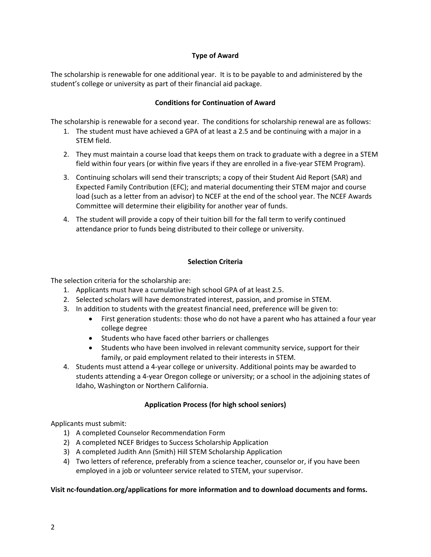# **Type of Award**

The scholarship is renewable for one additional year. It is to be payable to and administered by the student's college or university as part of their financial aid package.

# **Conditions for Continuation of Award**

The scholarship is renewable for a second year. The conditions for scholarship renewal are as follows:

- 1. The student must have achieved a GPA of at least a 2.5 and be continuing with a major in a STEM field.
- 2. They must maintain a course load that keeps them on track to graduate with a degree in a STEM field within four years (or within five years if they are enrolled in a five-year STEM Program).
- 3. Continuing scholars will send their transcripts; a copy of their Student Aid Report (SAR) and Expected Family Contribution (EFC); and material documenting their STEM major and course load (such as a letter from an advisor) to NCEF at the end of the school year. The NCEF Awards Committee will determine their eligibility for another year of funds.
- 4. The student will provide a copy of their tuition bill for the fall term to verify continued attendance prior to funds being distributed to their college or university.

## **Selection Criteria**

The selection criteria for the scholarship are:

- 1. Applicants must have a cumulative high school GPA of at least 2.5.
- 2. Selected scholars will have demonstrated interest, passion, and promise in STEM.
- 3. In addition to students with the greatest financial need, preference will be given to:
	- First generation students: those who do not have a parent who has attained a four year college degree
	- Students who have faced other barriers or challenges
	- Students who have been involved in relevant community service, support for their family, or paid employment related to their interests in STEM.
- 4. Students must attend a 4-year college or university. Additional points may be awarded to students attending a 4-year Oregon college or university; or a school in the adjoining states of Idaho, Washington or Northern California.

# **Application Process (for high school seniors)**

Applicants must submit:

- 1) A completed Counselor Recommendation Form
- 2) A completed NCEF Bridges to Success Scholarship Application
- 3) A completed Judith Ann (Smith) Hill STEM Scholarship Application
- 4) Two letters of reference, preferably from a science teacher, counselor or, if you have been employed in a job or volunteer service related to STEM, your supervisor.

## **Visit nc-foundation.org/applications for more information and to download documents and forms.**